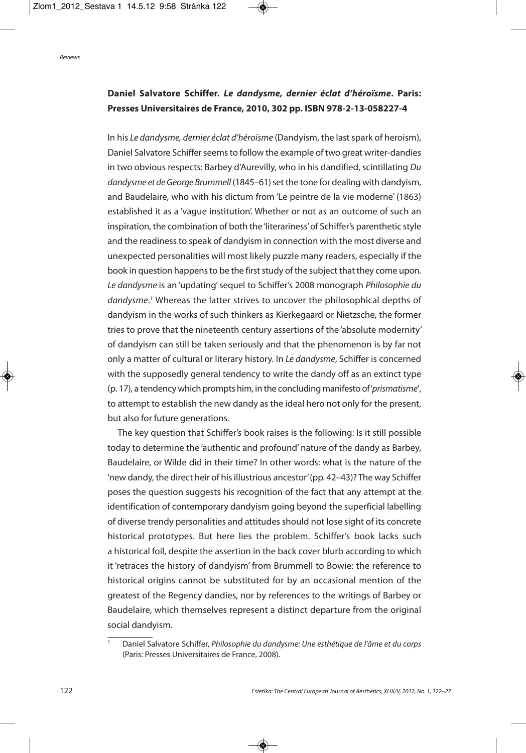## **Daniel Salvatore Schiffer.** *Le dandysme, dernier éclat d'héroïsme***. Paris: Presses Universitaires de France, 2010, 302 pp. ISBN 978-2-13-058227-4**

In his Le dandysme, dernier éclat d'héroïsme (Dandyism, the last spark of heroism), Daniel Salvatore Schiffer seems to follow the example of two great writer-dandies in two obvious respects: Barbey d'Aurevilly, who in his dandified, scintillating Du dandysme et de George Brummell (1845–61) set the tone for dealing with dandyism, and Baudelaire, who with his dictum from 'Le peintre de la vie moderne' (1863) established it as a 'vague institution'. Whether or not as an outcome of such an inspiration, the combination of both the'literariness'of Schiffer's parenthetic style and the readiness to speak of dandyism in connection with the most diverse and unexpected personalities will most likely puzzle many readers, especially if the book in question happens to be the first study of the subject that they come upon. Le dandysme is an 'updating'sequel to Schiffer's 2008 monograph Philosophie du dandysme. <sup>1</sup> Whereas the latter strives to uncover the philosophical depths of dandyism in the works of such thinkers as Kierkegaard or Nietzsche, the former tries to prove that the nineteenth century assertions of the 'absolute modernity' of dandyism can still be taken seriously and that the phenomenon is by far not only a matter of cultural or literary history. In Le dandysme, Schiffer is concerned with the supposedly general tendency to write the dandy off as an extinct type (p. 17), a tendency which prompts him, in the concluding manifesto of'prismatisme', to attempt to establish the new dandy as the ideal hero not only for the present, but also for future generations.

The key question that Schiffer's book raises is the following: Is it still possible today to determine the 'authentic and profound' nature of the dandy as Barbey, Baudelaire, or Wilde did in their time? In other words: what is the nature of the 'new dandy, the direct heir of hisillustrious ancestor'(pp. 42–43)? The way Schiffer poses the question suggests his recognition of the fact that any attempt at the identification of contemporary dandyism going beyond the superficial labelling of diverse trendy personalities and attitudes should not lose sight of its concrete historical prototypes. But here lies the problem. Schiffer's book lacks such a historical foil, despite the assertion in the back cover blurb according to which it 'retraces the history of dandyism' from Brummell to Bowie: the reference to historical origins cannot be substituted for by an occasional mention of the greatest of the Regency dandies, nor by references to the writings of Barbey or Baudelaire, which themselves represent a distinct departure from the original social dandyism.

Daniel Salvatore Schiffer, Philosophie du dandysme: Une esthétique de l'âme et du corps (Paris: Presses Universitaires de France, 2008).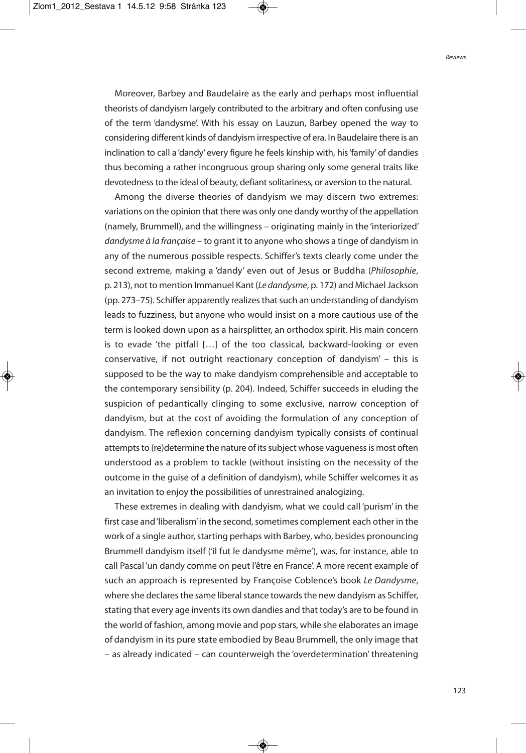Moreover, Barbey and Baudelaire as the early and perhaps most influential theorists of dandyism largely contributed to the arbitrary and often confusing use of the term 'dandysme'. With his essay on Lauzun, Barbey opened the way to considering different kinds of dandyism irrespective of era. In Baudelaire there is an inclination to call a 'dandy' every figure he feels kinship with, his'family'of dandies thus becoming a rather incongruous group sharing only some general traits like devotedness to the ideal of beauty, defiant solitariness, or aversion to the natural.

Among the diverse theories of dandyism we may discern two extremes: variations on the opinion that there was only one dandy worthy of the appellation (namely, Brummell), and the willingness – originating mainly in the 'interiorized' dandysme à la française – to grant it to anyone who shows a tinge of dandyism in any of the numerous possible respects. Schiffer's texts clearly come under the second extreme, making a 'dandy' even out of Jesus or Buddha (Philosophie, p. 213), not to mention Immanuel Kant (Le dandysme, p. 172) and Michael Jackson (pp. 273–75). Schiffer apparently realizes that such an understanding of dandyism leads to fuzziness, but anyone who would insist on a more cautious use of the term is looked down upon as a hairsplitter, an orthodox spirit. His main concern is to evade 'the pitfall […] of the too classical, backward-looking or even conservative, if not outright reactionary conception of dandyism' – this is supposed to be the way to make dandyism comprehensible and acceptable to the contemporary sensibility (p. 204). Indeed, Schiffer succeeds in eluding the suspicion of pedantically clinging to some exclusive, narrow conception of dandyism, but at the cost of avoiding the formulation of any conception of dandyism. The reflexion concerning dandyism typically consists of continual attempts to (re)determine the nature of its subject whose vagueness is most often understood as a problem to tackle (without insisting on the necessity of the outcome in the guise of a definition of dandyism), while Schiffer welcomes it as an invitation to enjoy the possibilities of unrestrained analogizing.

These extremes in dealing with dandyism, what we could call 'purism' in the first case and 'liberalism' in the second, sometimes complement each other in the work of a single author, starting perhaps with Barbey, who, besides pronouncing Brummell dandyism itself ('il fut le dandysme même'), was, for instance, able to call Pascal 'un dandy comme on peut l'être en France'. A more recent example of such an approach is represented by Françoise Coblence's book Le Dandysme, where she declares the same liberal stance towards the new dandyism as Schiffer, stating that every age inventsits own dandies and that today's are to be found in the world of fashion, among movie and pop stars, while she elaborates an image of dandyism in its pure state embodied by Beau Brummell, the only image that – as already indicated – can counterweigh the 'overdetermination' threatening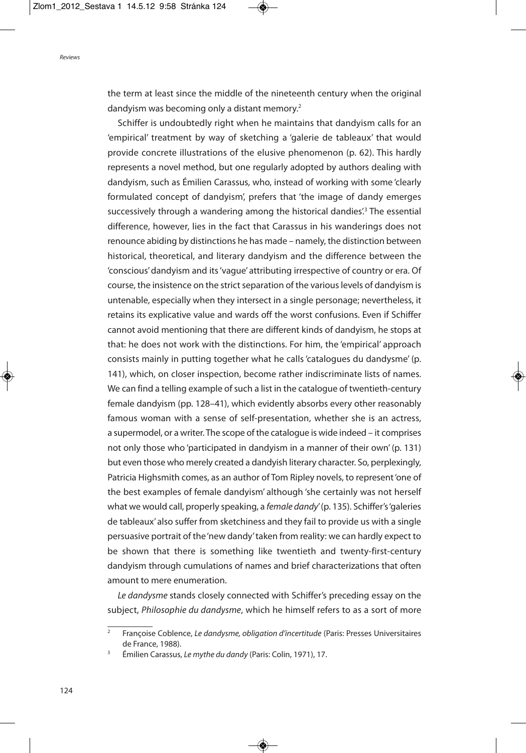the term at least since the middle of the nineteenth century when the original dandyism was becoming only a distant memory. 2

Schiffer is undoubtedly right when he maintains that dandyism calls for an 'empirical' treatment by way of sketching a 'galerie de tableaux' that would provide concrete illustrations of the elusive phenomenon (p. 62). This hardly represents a novel method, but one regularly adopted by authors dealing with dandyism, such as Émilien Carassus, who, instead of working with some 'clearly formulated concept of dandyism', prefers that 'the image of dandy emerges successively through a wandering among the historical dandies'. <sup>3</sup> The essential difference, however, lies in the fact that Carassus in his wanderings does not renounce abiding by distinctions he has made – namely, the distinction between historical, theoretical, and literary dandyism and the difference between the 'conscious'dandyism and its'vague' attributing irrespective of country or era. Of course, the insistence on the strict separation of the various levels of dandyism is untenable, especially when they intersect in a single personage; nevertheless, it retains its explicative value and wards off the worst confusions. Even if Schiffer cannot avoid mentioning that there are different kinds of dandyism, he stops at that: he does not work with the distinctions. For him, the 'empirical' approach consists mainly in putting together what he calls'catalogues du dandysme' (p. 141), which, on closer inspection, become rather indiscriminate lists of names. We can find a telling example of such a list in the catalogue of twentieth-century female dandyism (pp. 128–41), which evidently absorbs every other reasonably famous woman with a sense of self-presentation, whether she is an actress, a supermodel, or a writer. The scope of the catalogue is wide indeed – it comprises not only those who 'participated in dandyism in a manner of their own' (p. 131) but even those who merely created a dandyish literary character. So, perplexingly, Patricia Highsmith comes, as an author of Tom Ripley novels, to represent'one of the best examples of female dandyism' although 'she certainly was not herself what we would call, properly speaking, a female dandy' (p. 135). Schiffer's 'galeries de tableaux' also suffer from sketchiness and they fail to provide us with a single persuasive portrait of the'new dandy'taken from reality: we can hardly expect to be shown that there is something like twentieth and twenty-first-century dandyism through cumulations of names and brief characterizations that often amount to mere enumeration.

Le dandysme stands closely connected with Schiffer's preceding essay on the subject, Philosophie du dandysme, which he himself refers to as a sort of more

<sup>2</sup> Françoise Coblence, Le dandysme, obligation d'incertitude (Paris: Presses Universitaires de France, 1988).

<sup>&</sup>lt;sup>3</sup> Émilien Carassus, Le mythe du dandy (Paris: Colin, 1971), 17.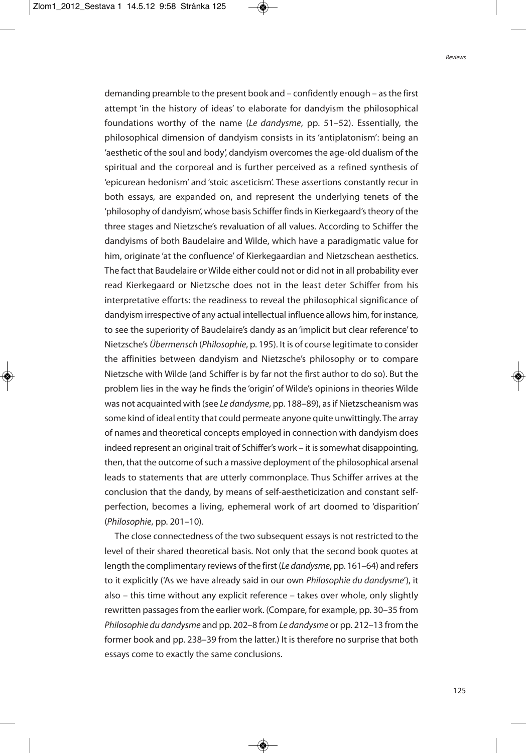demanding preamble to the present book and – confidently enough – asthe first attempt 'in the history of ideas' to elaborate for dandyism the philosophical foundations worthy of the name (Le dandysme, pp. 51–52). Essentially, the philosophical dimension of dandyism consists in its 'antiplatonism': being an 'aesthetic of the soul and body', dandyism overcomes the age-old dualism of the spiritual and the corporeal and is further perceived as a refined synthesis of 'epicurean hedonism' and 'stoic asceticism'. These assertions constantly recur in both essays, are expanded on, and represent the underlying tenets of the 'philosophy of dandyism', whose basis Schiffer findsin Kierkegaard'stheory of the three stages and Nietzsche's revaluation of all values. According to Schiffer the dandyisms of both Baudelaire and Wilde, which have a paradigmatic value for him, originate 'at the confluence' of Kierkegaardian and Nietzschean aesthetics. The fact that Baudelaire or Wilde either could not or did not in all probability ever read Kierkegaard or Nietzsche does not in the least deter Schiffer from his interpretative efforts: the readiness to reveal the philosophical significance of dandyism irrespective of any actual intellectual influence allows him, for instance, to see the superiority of Baudelaire's dandy as an 'implicit but clear reference'to Nietzsche's Übermensch (Philosophie, p. 195). It is of course legitimate to consider the affinities between dandyism and Nietzsche's philosophy or to compare Nietzsche with Wilde (and Schiffer is by far not the first author to do so). But the problem lies in the way he finds the 'origin' of Wilde's opinions in theories Wilde was not acquainted with (see Le dandysme, pp. 188–89), as if Nietzscheanism was some kind of ideal entity that could permeate anyone quite unwittingly. The array of names and theoretical concepts employed in connection with dandyism does indeed represent an original trait of Schiffer's work – it is somewhat disappointing, then, that the outcome of such a massive deployment of the philosophical arsenal leads to statements that are utterly commonplace. Thus Schiffer arrives at the conclusion that the dandy, by means of self-aestheticization and constant selfperfection, becomes a living, ephemeral work of art doomed to 'disparition' (Philosophie, pp. 201–10).

The close connectedness of the two subsequent essays is not restricted to the level of their shared theoretical basis. Not only that the second book quotes at length the complimentary reviews of the first (Le dandysme, pp. 161–64) and refers to it explicitly ('As we have already said in our own Philosophie du dandysme'), it also – this time without any explicit reference – takes over whole, only slightly rewritten passagesfrom the earlier work. (Compare, for example, pp. 30–35 from Philosophie du dandysme and pp. 202–8 from Le dandysme or pp. 212–13 from the former book and pp. 238–39 from the latter.) It is therefore no surprise that both essays come to exactly the same conclusions.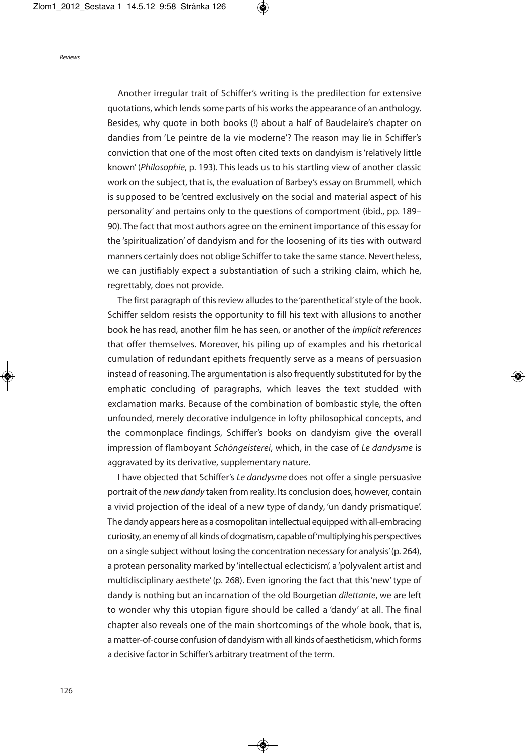Another irregular trait of Schiffer's writing is the predilection for extensive quotations, which lends some parts of his works the appearance of an anthology. Besides, why quote in both books (!) about a half of Baudelaire's chapter on dandies from 'Le peintre de la vie moderne'? The reason may lie in Schiffer's conviction that one of the most often cited texts on dandyism is'relatively little known' (Philosophie, p. 193). This leads us to his startling view of another classic work on the subject, that is, the evaluation of Barbey's essay on Brummell, which is supposed to be 'centred exclusively on the social and material aspect of his personality' and pertains only to the questions of comportment (ibid., pp. 189– 90). The fact that most authors agree on the eminent importance of this essay for the 'spiritualization' of dandyism and for the loosening of its ties with outward manners certainly does not oblige Schiffer to take the same stance. Nevertheless, we can justifiably expect a substantiation of such a striking claim, which he, regrettably, does not provide.

The first paragraph of this review alludes to the 'parenthetical' style of the book. Schiffer seldom resists the opportunity to fill his text with allusions to another book he has read, another film he has seen, or another of the implicit references that offer themselves. Moreover, his piling up of examples and his rhetorical cumulation of redundant epithets frequently serve as a means of persuasion instead of reasoning. The argumentation is also frequently substituted for by the emphatic concluding of paragraphs, which leaves the text studded with exclamation marks. Because of the combination of bombastic style, the often unfounded, merely decorative indulgence in lofty philosophical concepts, and the commonplace findings, Schiffer's books on dandyism give the overall impression of flamboyant Schöngeisterei, which, in the case of Le dandysme is aggravated by its derivative, supplementary nature.

I have objected that Schiffer's Le dandysme does not offer a single persuasive portrait of the new dandy taken from reality. Its conclusion does, however, contain a vivid projection of the ideal of a new type of dandy, 'un dandy prismatique'. The dandy appears here as a cosmopolitan intellectual equippedwith all-embracing curiosity, an enemy of all kinds of dogmatism, capable of 'multiplying his perspectives on a single subject without losing the concentration necessary for analysis'(p. 264), a protean personality marked by 'intellectual eclecticism', a 'polyvalent artist and multidisciplinary aesthete' (p. 268). Even ignoring the fact that this'new'type of dandy is nothing but an incarnation of the old Bourgetian dilettante, we are left to wonder why this utopian figure should be called a 'dandy' at all. The final chapter also reveals one of the main shortcomings of the whole book, that is, a matter-of-course confusion of dandyism with all kinds of aestheticism, which forms a decisive factor in Schiffer's arbitrary treatment of the term.